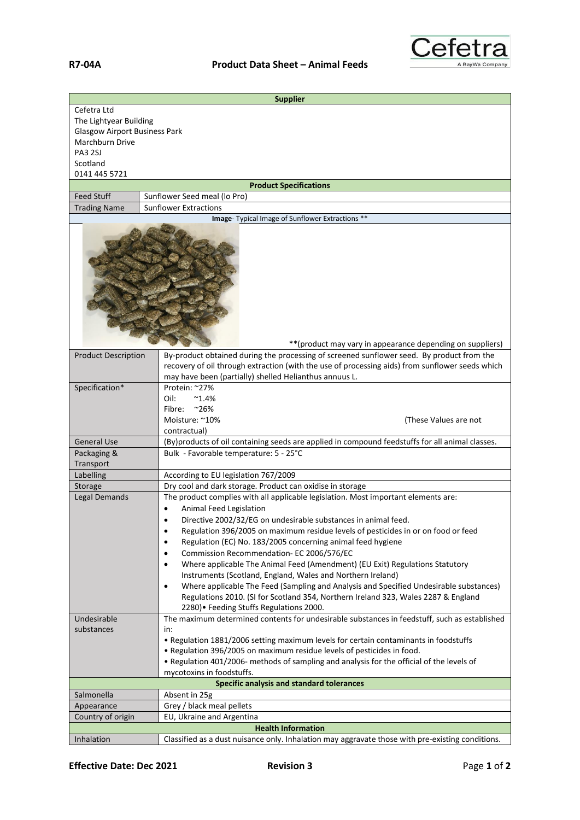

| <b>Supplier</b>                                            |                                                                                                                                                                                           |
|------------------------------------------------------------|-------------------------------------------------------------------------------------------------------------------------------------------------------------------------------------------|
| Cefetra Ltd<br>The Lightyear Building                      |                                                                                                                                                                                           |
| <b>Glasgow Airport Business Park</b><br>Marchburn Drive    |                                                                                                                                                                                           |
| PA3 2SJ                                                    |                                                                                                                                                                                           |
| Scotland                                                   |                                                                                                                                                                                           |
| 0141 445 5721                                              |                                                                                                                                                                                           |
| <b>Product Specifications</b>                              |                                                                                                                                                                                           |
| <b>Feed Stuff</b>                                          | Sunflower Seed meal (lo Pro)                                                                                                                                                              |
| <b>Trading Name</b>                                        | <b>Sunflower Extractions</b>                                                                                                                                                              |
| Image- Typical Image of Sunflower Extractions **           |                                                                                                                                                                                           |
| ** (product may vary in appearance depending on suppliers) |                                                                                                                                                                                           |
| <b>Product Description</b>                                 | By-product obtained during the processing of screened sunflower seed. By product from the                                                                                                 |
|                                                            | recovery of oil through extraction (with the use of processing aids) from sunflower seeds which                                                                                           |
|                                                            | may have been (partially) shelled Helianthus annuus L.                                                                                                                                    |
| Specification*                                             | Protein: ~27%                                                                                                                                                                             |
|                                                            | Oil:<br>$^{\sim}1.4\%$                                                                                                                                                                    |
|                                                            | $~26\%$<br>Fibre:                                                                                                                                                                         |
|                                                            | Moisture: ~10%<br>(These Values are not                                                                                                                                                   |
| <b>General Use</b>                                         | contractual)<br>(By)products of oil containing seeds are applied in compound feedstuffs for all animal classes.                                                                           |
| Packaging &                                                | Bulk - Favorable temperature: 5 - 25°C                                                                                                                                                    |
| Transport                                                  |                                                                                                                                                                                           |
| Labelling                                                  | According to EU legislation 767/2009                                                                                                                                                      |
| Storage                                                    | Dry cool and dark storage. Product can oxidise in storage                                                                                                                                 |
| Legal Demands                                              | The product complies with all applicable legislation. Most important elements are:                                                                                                        |
|                                                            | Animal Feed Legislation                                                                                                                                                                   |
|                                                            | Directive 2002/32/EG on undesirable substances in animal feed.                                                                                                                            |
|                                                            | Regulation 396/2005 on maximum residue levels of pesticides in or on food or feed<br>$\bullet$                                                                                            |
|                                                            | Regulation (EC) No. 183/2005 concerning animal feed hygiene<br>$\bullet$                                                                                                                  |
|                                                            | Commission Recommendation- EC 2006/576/EC<br>$\bullet$                                                                                                                                    |
|                                                            | Where applicable The Animal Feed (Amendment) (EU Exit) Regulations Statutory<br>$\bullet$                                                                                                 |
|                                                            | Instruments (Scotland, England, Wales and Northern Ireland)                                                                                                                               |
|                                                            | Where applicable The Feed (Sampling and Analysis and Specified Undesirable substances)<br>$\bullet$<br>Regulations 2010. (SI for Scotland 354, Northern Ireland 323, Wales 2287 & England |
|                                                            | 2280) • Feeding Stuffs Regulations 2000.                                                                                                                                                  |
| Undesirable                                                | The maximum determined contents for undesirable substances in feedstuff, such as established                                                                                              |
| substances                                                 | in:                                                                                                                                                                                       |
|                                                            | • Regulation 1881/2006 setting maximum levels for certain contaminants in foodstuffs                                                                                                      |
|                                                            | . Regulation 396/2005 on maximum residue levels of pesticides in food.                                                                                                                    |
|                                                            | . Regulation 401/2006- methods of sampling and analysis for the official of the levels of                                                                                                 |
|                                                            | mycotoxins in foodstuffs.                                                                                                                                                                 |
| <b>Specific analysis and standard tolerances</b>           |                                                                                                                                                                                           |
| Salmonella                                                 | Absent in 25g                                                                                                                                                                             |
| Appearance                                                 | Grey / black meal pellets<br>EU, Ukraine and Argentina                                                                                                                                    |
| Country of origin<br><b>Health Information</b>             |                                                                                                                                                                                           |
| Inhalation                                                 | Classified as a dust nuisance only. Inhalation may aggravate those with pre-existing conditions.                                                                                          |